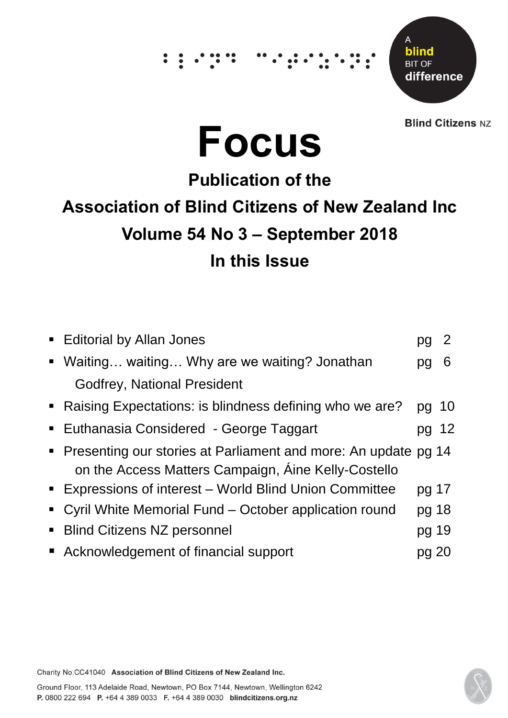# ∵. .



**Blind Citizens NZ** 



# **Publication of the Association of Blind Citizens of New Zealand Inc Volume 54 No 3 – September 2018 In this Issue**

| • Editorial by Allan Jones                                                                                              |       |   |
|-------------------------------------------------------------------------------------------------------------------------|-------|---|
| • Waiting waiting Why are we waiting? Jonathan                                                                          |       | 6 |
| <b>Godfrey, National President</b>                                                                                      |       |   |
| • Raising Expectations: is blindness defining who we are?                                                               | pg 10 |   |
| ■ Euthanasia Considered - George Taggart                                                                                | pg 12 |   |
| • Presenting our stories at Parliament and more: An update pg 14<br>on the Access Matters Campaign, Aine Kelly-Costello |       |   |
| <b>Expressions of interest - World Blind Union Committee</b>                                                            | pg 17 |   |
| • Cyril White Memorial Fund – October application round                                                                 | pg 18 |   |
| • Blind Citizens NZ personnel                                                                                           | pg 19 |   |
| ■ Acknowledgement of financial support                                                                                  | pg 20 |   |

Charity No.CC41040 Association of Blind Citizens of New Zealand Inc.

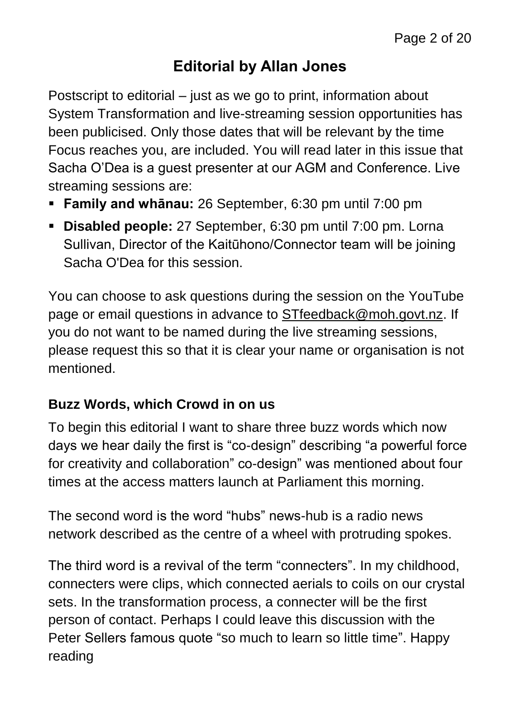#### **Editorial by Allan Jones**

Postscript to editorial – just as we go to print, information about System Transformation and live-streaming session opportunities has been publicised. Only those dates that will be relevant by the time Focus reaches you, are included. You will read later in this issue that Sacha O'Dea is a guest presenter at our AGM and Conference. Live streaming sessions are:

- **Family and whānau:** 26 September, 6:30 pm until 7:00 pm
- **Disabled people:** 27 September, 6:30 pm until 7:00 pm. Lorna Sullivan, Director of the Kaitūhono/Connector team will be joining Sacha O'Dea for this session.

You can choose to ask questions during the session on the YouTube page or email questions in advance to [STfeedback@moh.govt.nz.](mailto:STfeedback@moh.govt.nz) If you do not want to be named during the live streaming sessions, please request this so that it is clear your name or organisation is not mentioned.

#### **Buzz Words, which Crowd in on us**

To begin this editorial I want to share three buzz words which now days we hear daily the first is "co-design" describing "a powerful force for creativity and collaboration" co-design" was mentioned about four times at the access matters launch at Parliament this morning.

The second word is the word "hubs" news-hub is a radio news network described as the centre of a wheel with protruding spokes.

The third word is a revival of the term "connecters". In my childhood, connecters were clips, which connected aerials to coils on our crystal sets. In the transformation process, a connecter will be the first person of contact. Perhaps I could leave this discussion with the Peter Sellers famous quote "so much to learn so little time". Happy reading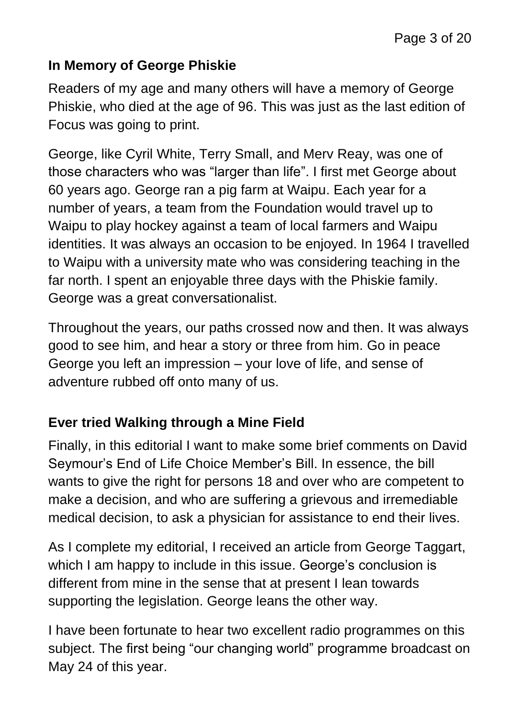#### **In Memory of George Phiskie**

Readers of my age and many others will have a memory of George Phiskie, who died at the age of 96. This was just as the last edition of Focus was going to print.

George, like Cyril White, Terry Small, and Merv Reay, was one of those characters who was "larger than life". I first met George about 60 years ago. George ran a pig farm at Waipu. Each year for a number of years, a team from the Foundation would travel up to Waipu to play hockey against a team of local farmers and Waipu identities. It was always an occasion to be enjoyed. In 1964 I travelled to Waipu with a university mate who was considering teaching in the far north. I spent an enjoyable three days with the Phiskie family. George was a great conversationalist.

Throughout the years, our paths crossed now and then. It was always good to see him, and hear a story or three from him. Go in peace George you left an impression – your love of life, and sense of adventure rubbed off onto many of us.

#### **Ever tried Walking through a Mine Field**

Finally, in this editorial I want to make some brief comments on David Seymour's End of Life Choice Member's Bill. In essence, the bill wants to give the right for persons 18 and over who are competent to make a decision, and who are suffering a grievous and irremediable medical decision, to ask a physician for assistance to end their lives.

As I complete my editorial, I received an article from George Taggart, which I am happy to include in this issue. George's conclusion is different from mine in the sense that at present I lean towards supporting the legislation. George leans the other way.

I have been fortunate to hear two excellent radio programmes on this subject. The first being "our changing world" programme broadcast on May 24 of this year.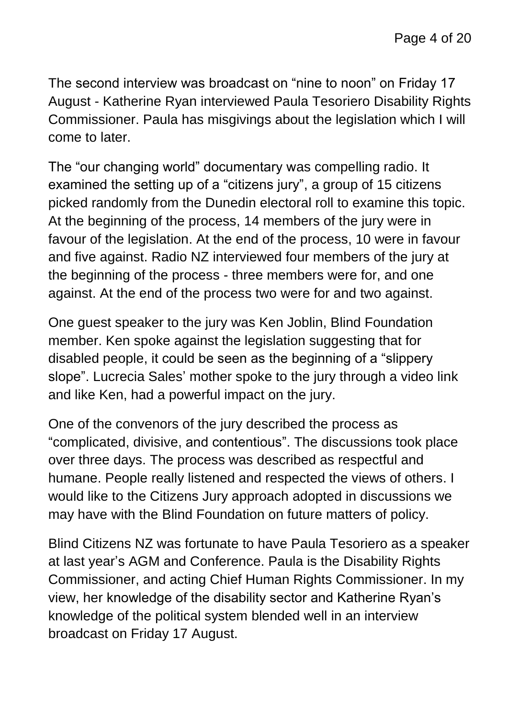The second interview was broadcast on "nine to noon" on Friday 17 August - Katherine Ryan interviewed Paula Tesoriero Disability Rights Commissioner. Paula has misgivings about the legislation which I will come to later.

The "our changing world" documentary was compelling radio. It examined the setting up of a "citizens jury", a group of 15 citizens picked randomly from the Dunedin electoral roll to examine this topic. At the beginning of the process, 14 members of the jury were in favour of the legislation. At the end of the process, 10 were in favour and five against. Radio NZ interviewed four members of the jury at the beginning of the process - three members were for, and one against. At the end of the process two were for and two against.

One guest speaker to the jury was Ken Joblin, Blind Foundation member. Ken spoke against the legislation suggesting that for disabled people, it could be seen as the beginning of a "slippery slope". Lucrecia Sales' mother spoke to the jury through a video link and like Ken, had a powerful impact on the jury.

One of the convenors of the jury described the process as "complicated, divisive, and contentious". The discussions took place over three days. The process was described as respectful and humane. People really listened and respected the views of others. I would like to the Citizens Jury approach adopted in discussions we may have with the Blind Foundation on future matters of policy.

Blind Citizens NZ was fortunate to have Paula Tesoriero as a speaker at last year's AGM and Conference. Paula is the Disability Rights Commissioner, and acting Chief Human Rights Commissioner. In my view, her knowledge of the disability sector and Katherine Ryan's knowledge of the political system blended well in an interview broadcast on Friday 17 August.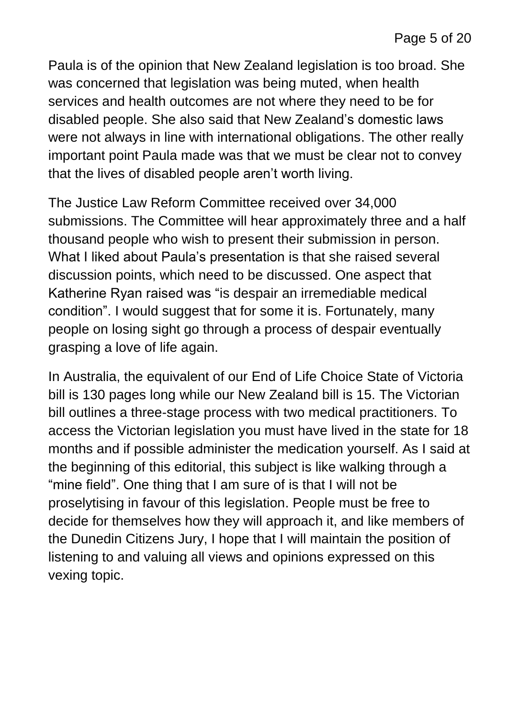Paula is of the opinion that New Zealand legislation is too broad. She was concerned that legislation was being muted, when health services and health outcomes are not where they need to be for disabled people. She also said that New Zealand's domestic laws were not always in line with international obligations. The other really important point Paula made was that we must be clear not to convey that the lives of disabled people aren't worth living.

The Justice Law Reform Committee received over 34,000 submissions. The Committee will hear approximately three and a half thousand people who wish to present their submission in person. What I liked about Paula's presentation is that she raised several discussion points, which need to be discussed. One aspect that Katherine Ryan raised was "is despair an irremediable medical condition". I would suggest that for some it is. Fortunately, many people on losing sight go through a process of despair eventually grasping a love of life again.

In Australia, the equivalent of our End of Life Choice State of Victoria bill is 130 pages long while our New Zealand bill is 15. The Victorian bill outlines a three-stage process with two medical practitioners. To access the Victorian legislation you must have lived in the state for 18 months and if possible administer the medication yourself. As I said at the beginning of this editorial, this subject is like walking through a "mine field". One thing that I am sure of is that I will not be proselytising in favour of this legislation. People must be free to decide for themselves how they will approach it, and like members of the Dunedin Citizens Jury, I hope that I will maintain the position of listening to and valuing all views and opinions expressed on this vexing topic.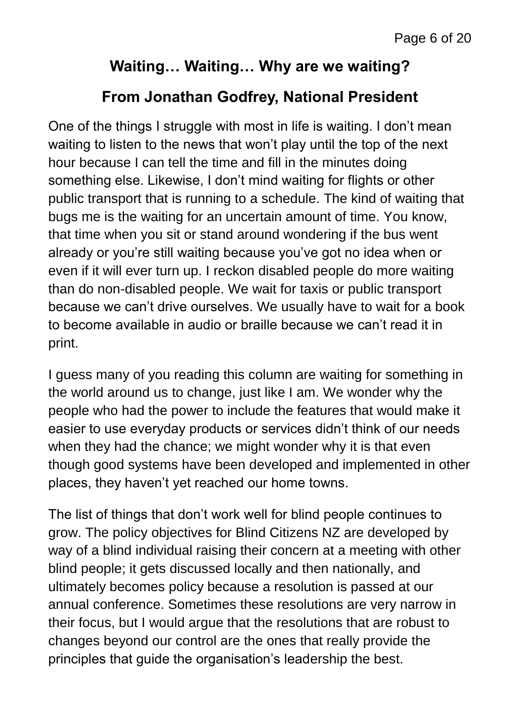#### **Waiting… Waiting… Why are we waiting?**

#### **From Jonathan Godfrey, National President**

One of the things I struggle with most in life is waiting. I don't mean waiting to listen to the news that won't play until the top of the next hour because I can tell the time and fill in the minutes doing something else. Likewise, I don't mind waiting for flights or other public transport that is running to a schedule. The kind of waiting that bugs me is the waiting for an uncertain amount of time. You know, that time when you sit or stand around wondering if the bus went already or you're still waiting because you've got no idea when or even if it will ever turn up. I reckon disabled people do more waiting than do non-disabled people. We wait for taxis or public transport because we can't drive ourselves. We usually have to wait for a book to become available in audio or braille because we can't read it in print.

I guess many of you reading this column are waiting for something in the world around us to change, just like I am. We wonder why the people who had the power to include the features that would make it easier to use everyday products or services didn't think of our needs when they had the chance; we might wonder why it is that even though good systems have been developed and implemented in other places, they haven't yet reached our home towns.

The list of things that don't work well for blind people continues to grow. The policy objectives for Blind Citizens NZ are developed by way of a blind individual raising their concern at a meeting with other blind people; it gets discussed locally and then nationally, and ultimately becomes policy because a resolution is passed at our annual conference. Sometimes these resolutions are very narrow in their focus, but I would argue that the resolutions that are robust to changes beyond our control are the ones that really provide the principles that guide the organisation's leadership the best.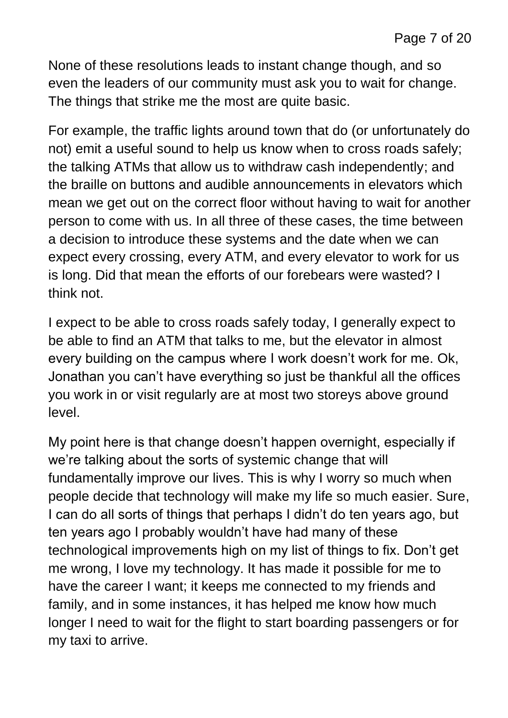None of these resolutions leads to instant change though, and so even the leaders of our community must ask you to wait for change. The things that strike me the most are quite basic.

For example, the traffic lights around town that do (or unfortunately do not) emit a useful sound to help us know when to cross roads safely; the talking ATMs that allow us to withdraw cash independently; and the braille on buttons and audible announcements in elevators which mean we get out on the correct floor without having to wait for another person to come with us. In all three of these cases, the time between a decision to introduce these systems and the date when we can expect every crossing, every ATM, and every elevator to work for us is long. Did that mean the efforts of our forebears were wasted? I think not.

I expect to be able to cross roads safely today, I generally expect to be able to find an ATM that talks to me, but the elevator in almost every building on the campus where I work doesn't work for me. Ok, Jonathan you can't have everything so just be thankful all the offices you work in or visit regularly are at most two storeys above ground level.

My point here is that change doesn't happen overnight, especially if we're talking about the sorts of systemic change that will fundamentally improve our lives. This is why I worry so much when people decide that technology will make my life so much easier. Sure, I can do all sorts of things that perhaps I didn't do ten years ago, but ten years ago I probably wouldn't have had many of these technological improvements high on my list of things to fix. Don't get me wrong, I love my technology. It has made it possible for me to have the career I want; it keeps me connected to my friends and family, and in some instances, it has helped me know how much longer I need to wait for the flight to start boarding passengers or for my taxi to arrive.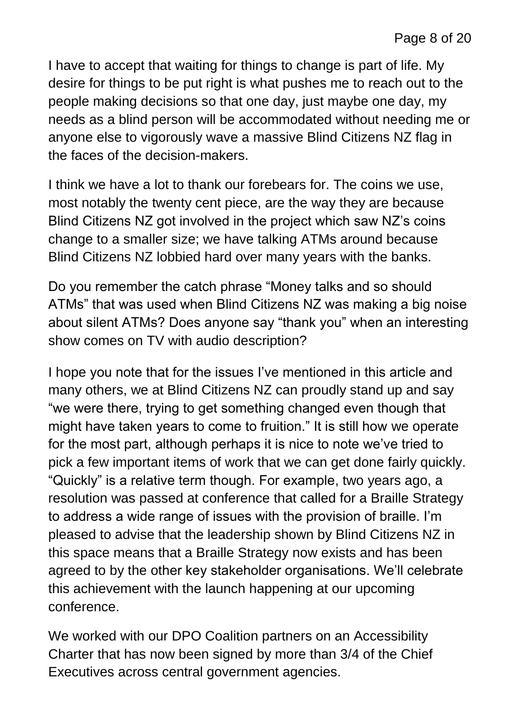I have to accept that waiting for things to change is part of life. My desire for things to be put right is what pushes me to reach out to the people making decisions so that one day, just maybe one day, my needs as a blind person will be accommodated without needing me or anyone else to vigorously wave a massive Blind Citizens NZ flag in the faces of the decision-makers.

I think we have a lot to thank our forebears for. The coins we use, most notably the twenty cent piece, are the way they are because Blind Citizens NZ got involved in the project which saw NZ's coins change to a smaller size; we have talking ATMs around because Blind Citizens NZ lobbied hard over many years with the banks.

Do you remember the catch phrase "Money talks and so should ATMs" that was used when Blind Citizens NZ was making a big noise about silent ATMs? Does anyone say "thank you" when an interesting show comes on TV with audio description?

I hope you note that for the issues I've mentioned in this article and many others, we at Blind Citizens NZ can proudly stand up and say "we were there, trying to get something changed even though that might have taken years to come to fruition." It is still how we operate for the most part, although perhaps it is nice to note we've tried to pick a few important items of work that we can get done fairly quickly. "Quickly" is a relative term though. For example, two years ago, a resolution was passed at conference that called for a Braille Strategy to address a wide range of issues with the provision of braille. I'm pleased to advise that the leadership shown by Blind Citizens NZ in this space means that a Braille Strategy now exists and has been agreed to by the other key stakeholder organisations. We'll celebrate this achievement with the launch happening at our upcoming conference.

We worked with our DPO Coalition partners on an Accessibility Charter that has now been signed by more than 3/4 of the Chief Executives across central government agencies.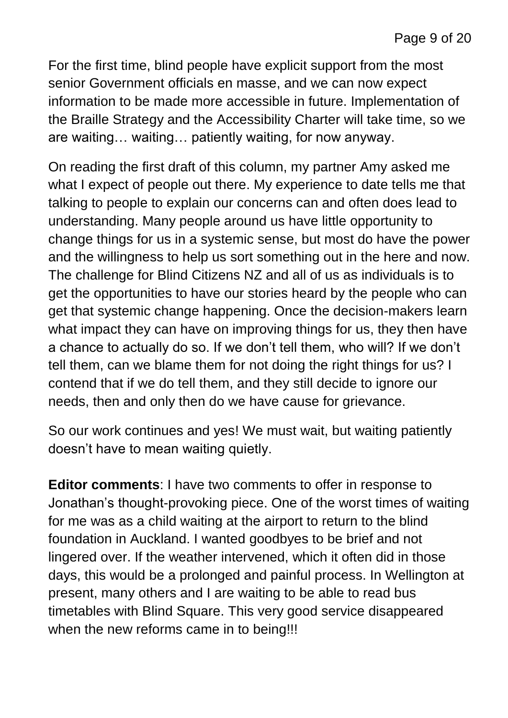For the first time, blind people have explicit support from the most senior Government officials en masse, and we can now expect information to be made more accessible in future. Implementation of the Braille Strategy and the Accessibility Charter will take time, so we are waiting… waiting… patiently waiting, for now anyway.

On reading the first draft of this column, my partner Amy asked me what I expect of people out there. My experience to date tells me that talking to people to explain our concerns can and often does lead to understanding. Many people around us have little opportunity to change things for us in a systemic sense, but most do have the power and the willingness to help us sort something out in the here and now. The challenge for Blind Citizens NZ and all of us as individuals is to get the opportunities to have our stories heard by the people who can get that systemic change happening. Once the decision-makers learn what impact they can have on improving things for us, they then have a chance to actually do so. If we don't tell them, who will? If we don't tell them, can we blame them for not doing the right things for us? I contend that if we do tell them, and they still decide to ignore our needs, then and only then do we have cause for grievance.

So our work continues and yes! We must wait, but waiting patiently doesn't have to mean waiting quietly.

**Editor comments**: I have two comments to offer in response to Jonathan's thought-provoking piece. One of the worst times of waiting for me was as a child waiting at the airport to return to the blind foundation in Auckland. I wanted goodbyes to be brief and not lingered over. If the weather intervened, which it often did in those days, this would be a prolonged and painful process. In Wellington at present, many others and I are waiting to be able to read bus timetables with Blind Square. This very good service disappeared when the new reforms came in to being!!!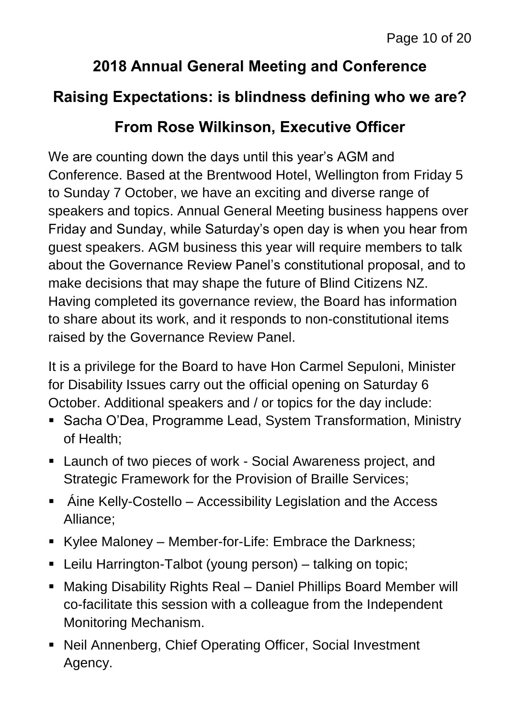#### **2018 Annual General Meeting and Conference**

#### **Raising Expectations: is blindness defining who we are?**

#### **From Rose Wilkinson, Executive Officer**

We are counting down the days until this year's AGM and Conference. Based at the Brentwood Hotel, Wellington from Friday 5 to Sunday 7 October, we have an exciting and diverse range of speakers and topics. Annual General Meeting business happens over Friday and Sunday, while Saturday's open day is when you hear from guest speakers. AGM business this year will require members to talk about the Governance Review Panel's constitutional proposal, and to make decisions that may shape the future of Blind Citizens NZ. Having completed its governance review, the Board has information to share about its work, and it responds to non-constitutional items raised by the Governance Review Panel.

It is a privilege for the Board to have Hon Carmel Sepuloni, Minister for Disability Issues carry out the official opening on Saturday 6 October. Additional speakers and / or topics for the day include:

- Sacha O'Dea, Programme Lead, System Transformation, Ministry of Health;
- Launch of two pieces of work Social Awareness project, and Strategic Framework for the Provision of Braille Services;
- Áine Kelly-Costello Accessibility Legislation and the Access Alliance;
- Kylee Maloney Member-for-Life: Embrace the Darkness;
- Leilu Harrington-Talbot (young person) talking on topic;
- Making Disability Rights Real Daniel Phillips Board Member will co-facilitate this session with a colleague from the Independent Monitoring Mechanism.
- Neil Annenberg, Chief Operating Officer, Social Investment Agency.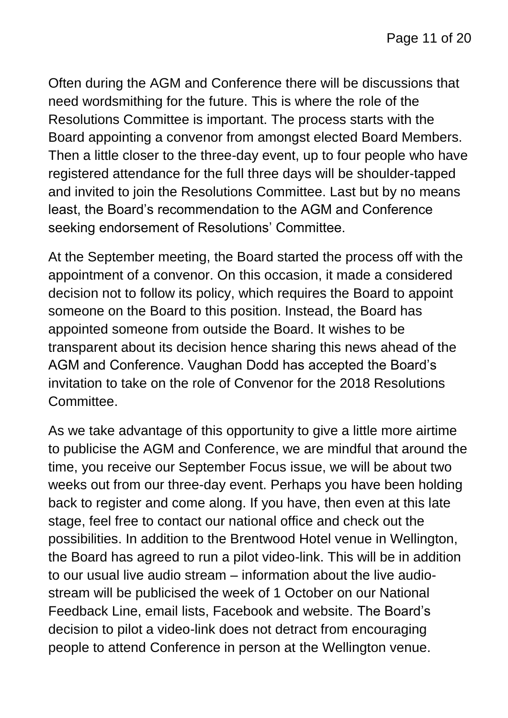Often during the AGM and Conference there will be discussions that need wordsmithing for the future. This is where the role of the Resolutions Committee is important. The process starts with the Board appointing a convenor from amongst elected Board Members. Then a little closer to the three-day event, up to four people who have registered attendance for the full three days will be shoulder-tapped and invited to join the Resolutions Committee. Last but by no means least, the Board's recommendation to the AGM and Conference seeking endorsement of Resolutions' Committee.

At the September meeting, the Board started the process off with the appointment of a convenor. On this occasion, it made a considered decision not to follow its policy, which requires the Board to appoint someone on the Board to this position. Instead, the Board has appointed someone from outside the Board. It wishes to be transparent about its decision hence sharing this news ahead of the AGM and Conference. Vaughan Dodd has accepted the Board's invitation to take on the role of Convenor for the 2018 Resolutions Committee.

As we take advantage of this opportunity to give a little more airtime to publicise the AGM and Conference, we are mindful that around the time, you receive our September Focus issue, we will be about two weeks out from our three-day event. Perhaps you have been holding back to register and come along. If you have, then even at this late stage, feel free to contact our national office and check out the possibilities. In addition to the Brentwood Hotel venue in Wellington, the Board has agreed to run a pilot video-link. This will be in addition to our usual live audio stream – information about the live audiostream will be publicised the week of 1 October on our National Feedback Line, email lists, Facebook and website. The Board's decision to pilot a video-link does not detract from encouraging people to attend Conference in person at the Wellington venue.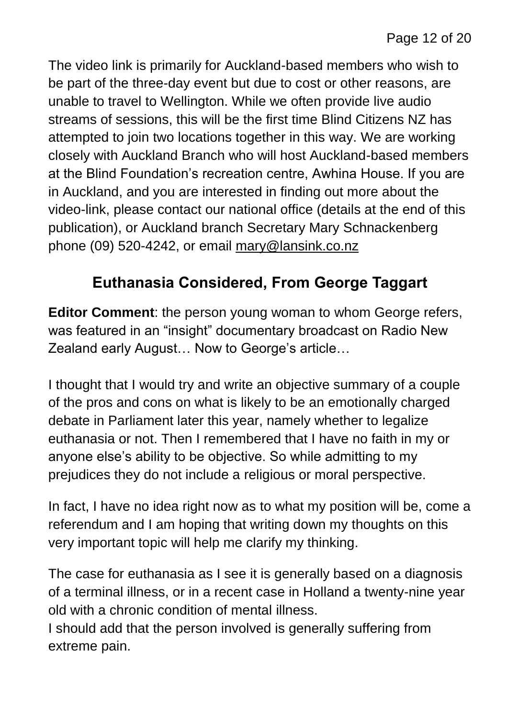The video link is primarily for Auckland-based members who wish to be part of the three-day event but due to cost or other reasons, are unable to travel to Wellington. While we often provide live audio streams of sessions, this will be the first time Blind Citizens NZ has attempted to join two locations together in this way. We are working closely with Auckland Branch who will host Auckland-based members at the Blind Foundation's recreation centre, Awhina House. If you are in Auckland, and you are interested in finding out more about the video-link, please contact our national office (details at the end of this publication), or Auckland branch Secretary Mary Schnackenberg phone (09) 520-4242, or email [mary@lansink.co.nz](mailto:mary@lansink.co.nz)

### **Euthanasia Considered, From George Taggart**

**Editor Comment**: the person young woman to whom George refers, was featured in an "insight" documentary broadcast on Radio New Zealand early August… Now to George's article…

I thought that I would try and write an objective summary of a couple of the pros and cons on what is likely to be an emotionally charged debate in Parliament later this year, namely whether to legalize euthanasia or not. Then I remembered that I have no faith in my or anyone else's ability to be objective. So while admitting to my prejudices they do not include a religious or moral perspective.

In fact, I have no idea right now as to what my position will be, come a referendum and I am hoping that writing down my thoughts on this very important topic will help me clarify my thinking.

The case for euthanasia as I see it is generally based on a diagnosis of a terminal illness, or in a recent case in Holland a twenty-nine year old with a chronic condition of mental illness.

I should add that the person involved is generally suffering from extreme pain.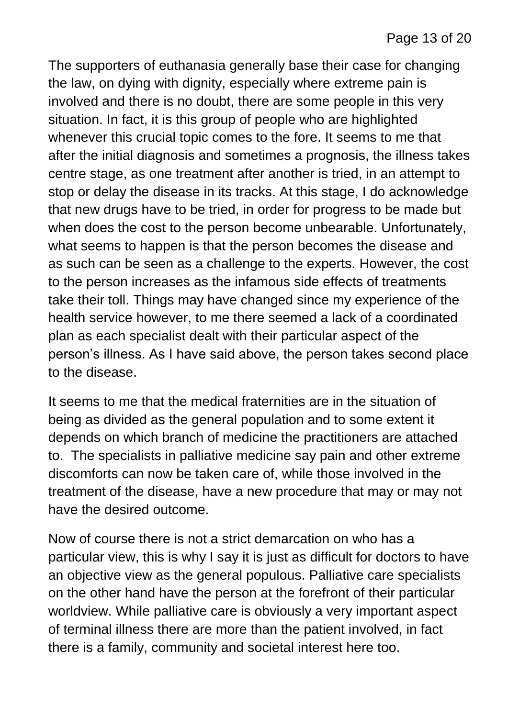The supporters of euthanasia generally base their case for changing the law, on dying with dignity, especially where extreme pain is involved and there is no doubt, there are some people in this very situation. In fact, it is this group of people who are highlighted whenever this crucial topic comes to the fore. It seems to me that after the initial diagnosis and sometimes a prognosis, the illness takes centre stage, as one treatment after another is tried, in an attempt to stop or delay the disease in its tracks. At this stage, I do acknowledge that new drugs have to be tried, in order for progress to be made but when does the cost to the person become unbearable. Unfortunately, what seems to happen is that the person becomes the disease and as such can be seen as a challenge to the experts. However, the cost to the person increases as the infamous side effects of treatments take their toll. Things may have changed since my experience of the health service however, to me there seemed a lack of a coordinated plan as each specialist dealt with their particular aspect of the person's illness. As I have said above, the person takes second place to the disease.

It seems to me that the medical fraternities are in the situation of being as divided as the general population and to some extent it depends on which branch of medicine the practitioners are attached to. The specialists in palliative medicine say pain and other extreme discomforts can now be taken care of, while those involved in the treatment of the disease, have a new procedure that may or may not have the desired outcome.

Now of course there is not a strict demarcation on who has a particular view, this is why I say it is just as difficult for doctors to have an objective view as the general populous. Palliative care specialists on the other hand have the person at the forefront of their particular worldview. While palliative care is obviously a very important aspect of terminal illness there are more than the patient involved, in fact there is a family, community and societal interest here too.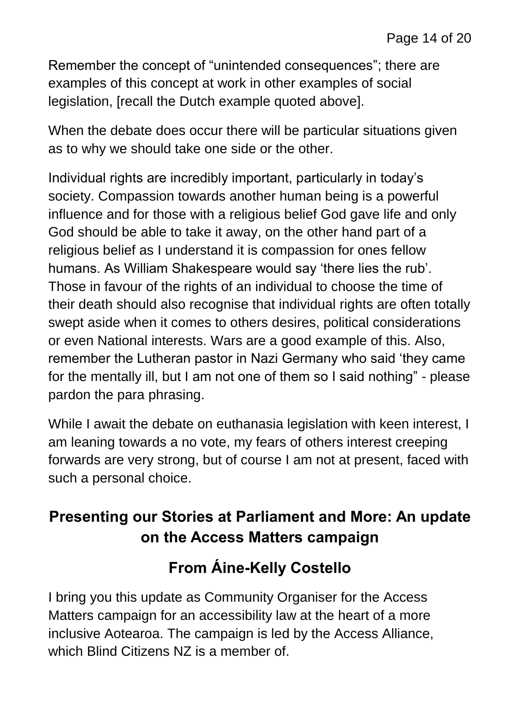Remember the concept of "unintended consequences"; there are examples of this concept at work in other examples of social legislation, [recall the Dutch example quoted above].

When the debate does occur there will be particular situations given as to why we should take one side or the other.

Individual rights are incredibly important, particularly in today's society. Compassion towards another human being is a powerful influence and for those with a religious belief God gave life and only God should be able to take it away, on the other hand part of a religious belief as I understand it is compassion for ones fellow humans. As William Shakespeare would say 'there lies the rub'. Those in favour of the rights of an individual to choose the time of their death should also recognise that individual rights are often totally swept aside when it comes to others desires, political considerations or even National interests. Wars are a good example of this. Also, remember the Lutheran pastor in Nazi Germany who said 'they came for the mentally ill, but I am not one of them so I said nothing" - please pardon the para phrasing.

While I await the debate on euthanasia legislation with keen interest, I am leaning towards a no vote, my fears of others interest creeping forwards are very strong, but of course I am not at present, faced with such a personal choice.

### **Presenting our Stories at Parliament and More: An update on the Access Matters campaign**

# **From Áine-Kelly Costello**

I bring you this update as Community Organiser for the Access Matters campaign for an accessibility law at the heart of a more inclusive Aotearoa. The campaign is led by the Access Alliance, which Blind Citizens NZ is a member of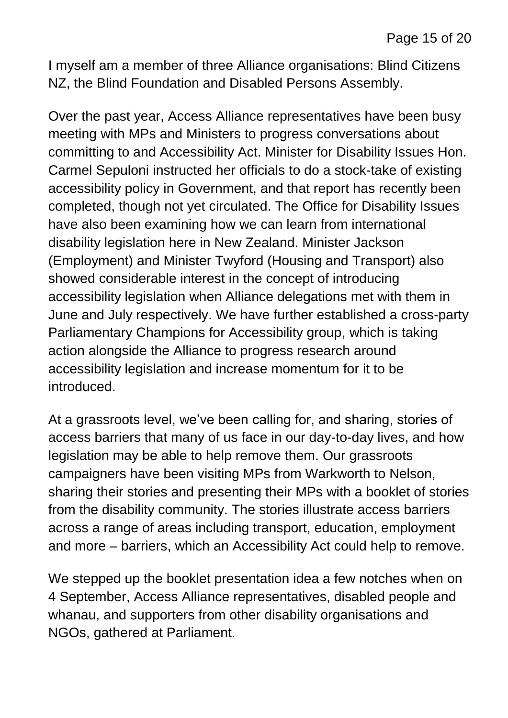I myself am a member of three Alliance organisations: Blind Citizens NZ, the Blind Foundation and Disabled Persons Assembly.

Over the past year, Access Alliance representatives have been busy meeting with MPs and Ministers to progress conversations about committing to and Accessibility Act. Minister for Disability Issues Hon. Carmel Sepuloni instructed her officials to do a stock-take of existing accessibility policy in Government, and that report has recently been completed, though not yet circulated. The Office for Disability Issues have also been examining how we can learn from international disability legislation here in New Zealand. Minister Jackson (Employment) and Minister Twyford (Housing and Transport) also showed considerable interest in the concept of introducing accessibility legislation when Alliance delegations met with them in June and July respectively. We have further established a cross-party Parliamentary Champions for Accessibility group, which is taking action alongside the Alliance to progress research around accessibility legislation and increase momentum for it to be introduced.

At a grassroots level, we've been calling for, and sharing, stories of access barriers that many of us face in our day-to-day lives, and how legislation may be able to help remove them. Our grassroots campaigners have been visiting MPs from Warkworth to Nelson, sharing their stories and presenting their MPs with a booklet of stories from the disability community. The stories illustrate access barriers across a range of areas including transport, education, employment and more – barriers, which an Accessibility Act could help to remove.

We stepped up the booklet presentation idea a few notches when on 4 September, Access Alliance representatives, disabled people and whanau, and supporters from other disability organisations and NGOs, gathered at Parliament.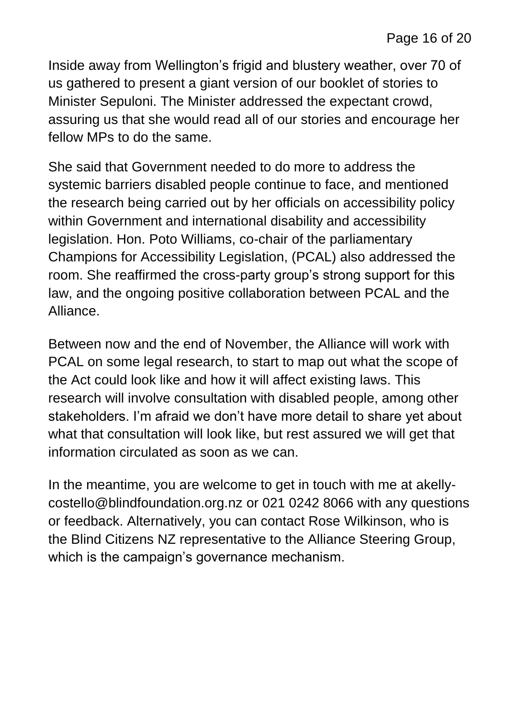Inside away from Wellington's frigid and blustery weather, over 70 of us gathered to present a giant version of our booklet of stories to Minister Sepuloni. The Minister addressed the expectant crowd, assuring us that she would read all of our stories and encourage her fellow MPs to do the same.

She said that Government needed to do more to address the systemic barriers disabled people continue to face, and mentioned the research being carried out by her officials on accessibility policy within Government and international disability and accessibility legislation. Hon. Poto Williams, co-chair of the parliamentary Champions for Accessibility Legislation, (PCAL) also addressed the room. She reaffirmed the cross-party group's strong support for this law, and the ongoing positive collaboration between PCAL and the Alliance.

Between now and the end of November, the Alliance will work with PCAL on some legal research, to start to map out what the scope of the Act could look like and how it will affect existing laws. This research will involve consultation with disabled people, among other stakeholders. I'm afraid we don't have more detail to share yet about what that consultation will look like, but rest assured we will get that information circulated as soon as we can.

In the meantime, you are welcome to get in touch with me at [akelly](mailto:akelly-costello@blindfoundation.org.nz)[costello@blindfoundation.org.nz](mailto:akelly-costello@blindfoundation.org.nz) or 021 0242 8066 with any questions or feedback. Alternatively, you can contact Rose Wilkinson, who is the Blind Citizens NZ representative to the Alliance Steering Group, which is the campaign's governance mechanism.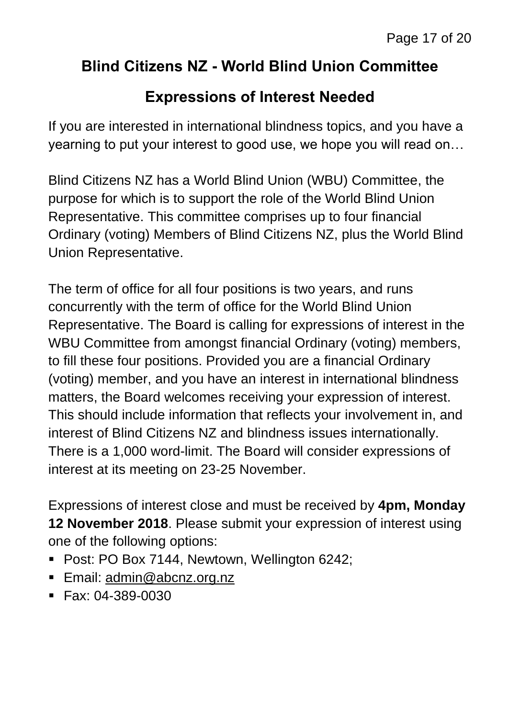#### **Blind Citizens NZ - World Blind Union Committee**

#### **Expressions of Interest Needed**

If you are interested in international blindness topics, and you have a yearning to put your interest to good use, we hope you will read on…

Blind Citizens NZ has a World Blind Union (WBU) Committee, the purpose for which is to support the role of the World Blind Union Representative. This committee comprises up to four financial Ordinary (voting) Members of Blind Citizens NZ, plus the World Blind Union Representative.

The term of office for all four positions is two years, and runs concurrently with the term of office for the World Blind Union Representative. The Board is calling for expressions of interest in the WBU Committee from amongst financial Ordinary (voting) members, to fill these four positions. Provided you are a financial Ordinary (voting) member, and you have an interest in international blindness matters, the Board welcomes receiving your expression of interest. This should include information that reflects your involvement in, and interest of Blind Citizens NZ and blindness issues internationally. There is a 1,000 word-limit. The Board will consider expressions of interest at its meeting on 23-25 November.

Expressions of interest close and must be received by **4pm, Monday 12 November 2018**. Please submit your expression of interest using one of the following options:

- Post: PO Box 7144, Newtown, Wellington 6242;
- Email: [admin@abcnz.org.nz](mailto:admin@abcnz.org.nz)
- Fax: 04-389-0030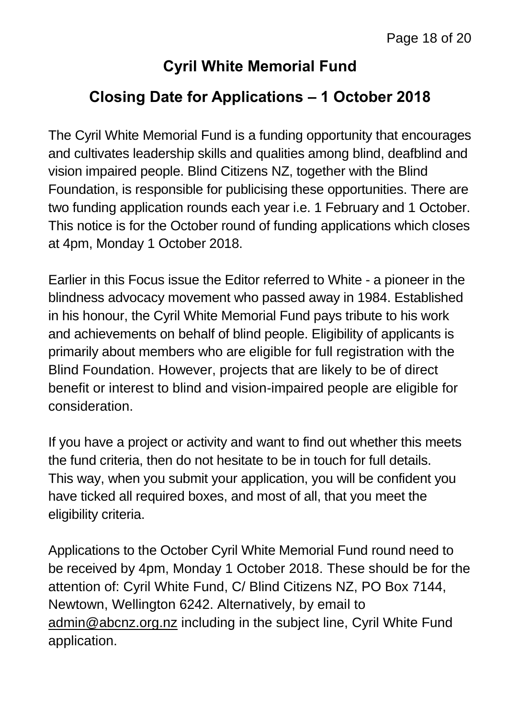#### **Cyril White Memorial Fund**

#### **Closing Date for Applications – 1 October 2018**

The Cyril White Memorial Fund is a funding opportunity that encourages and cultivates leadership skills and qualities among blind, deafblind and vision impaired people. Blind Citizens NZ, together with the Blind Foundation, is responsible for publicising these opportunities. There are two funding application rounds each year i.e. 1 February and 1 October. This notice is for the October round of funding applications which closes at 4pm, Monday 1 October 2018.

Earlier in this Focus issue the Editor referred to White - a pioneer in the blindness advocacy movement who passed away in 1984. Established in his honour, the Cyril White Memorial Fund pays tribute to his work and achievements on behalf of blind people. Eligibility of applicants is primarily about members who are eligible for full registration with the Blind Foundation. However, projects that are likely to be of direct benefit or interest to blind and vision-impaired people are eligible for consideration.

If you have a project or activity and want to find out whether this meets the fund criteria, then do not hesitate to be in touch for full details. This way, when you submit your application, you will be confident you have ticked all required boxes, and most of all, that you meet the eligibility criteria.

Applications to the October Cyril White Memorial Fund round need to be received by 4pm, Monday 1 October 2018. These should be for the attention of: Cyril White Fund, C/ Blind Citizens NZ, PO Box 7144, Newtown, Wellington 6242. Alternatively, by email to [admin@abcnz.org.nz](mailto:admin@abcnz.org.nz) including in the subject line, Cyril White Fund application.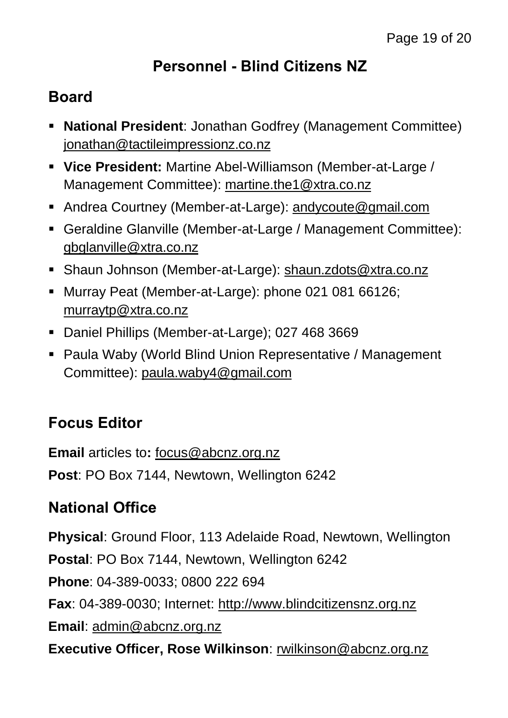## **Personnel - Blind Citizens NZ**

## **Board**

- **National President**: Jonathan Godfrey (Management Committee) [jonathan@tactileimpressionz.co.nz](mailto:jonathan@tactileimpressionz.co.nz)
- **Vice President:** Martine Abel-Williamson (Member-at-Large / Management Committee): [martine.the1@xtra.co.nz](mailto:martine.the1@xtra.co.nz)
- Andrea Courtney (Member-at-Large): [andycoute@gmail.com](mailto:andycoute@gmail.com)
- Geraldine Glanville (Member-at-Large / Management Committee): [gbglanville@xtra.co.nz](mailto:gbglanville@xtra.co.nz)
- Shaun Johnson (Member-at-Large): [shaun.zdots@xtra.co.nz](mailto:shaun.zdots@xtra.co.nz%20co.nz)
- Murray Peat (Member-at-Large): phone 021 081 66126; [murraytp@xtra.co.nz](mailto:murraytp@xtra.co.nz)
- Daniel Phillips (Member-at-Large); 027 468 3669
- Paula Waby (World Blind Union Representative / Management Committee): [paula.waby4@gmail.com](mailto:paula.waby4@gmail.com)

## **Focus Editor**

**Email** articles to**:** [focus@abcnz.org.nz](mailto:focus@abcnz.org.nz) **Post**: PO Box 7144, Newtown, Wellington 6242

# **National Office**

**Physical**: Ground Floor, 113 Adelaide Road, Newtown, Wellington **Postal**: PO Box 7144, Newtown, Wellington 6242 **Phone**: 04-389-0033; 0800 222 694 **Fax**: 04-389-0030; Internet: [http://www.blindcitizensnz.org.nz](http://www.blindcitizensnz.org.nz/) **Email**: [admin@abcnz.org.nz](mailto:admin@abcnz.org.nz) **Executive Officer, Rose Wilkinson**: [rwilkinson@abcnz.org.nz](mailto:rwilkinson@abcnz.org.nz)